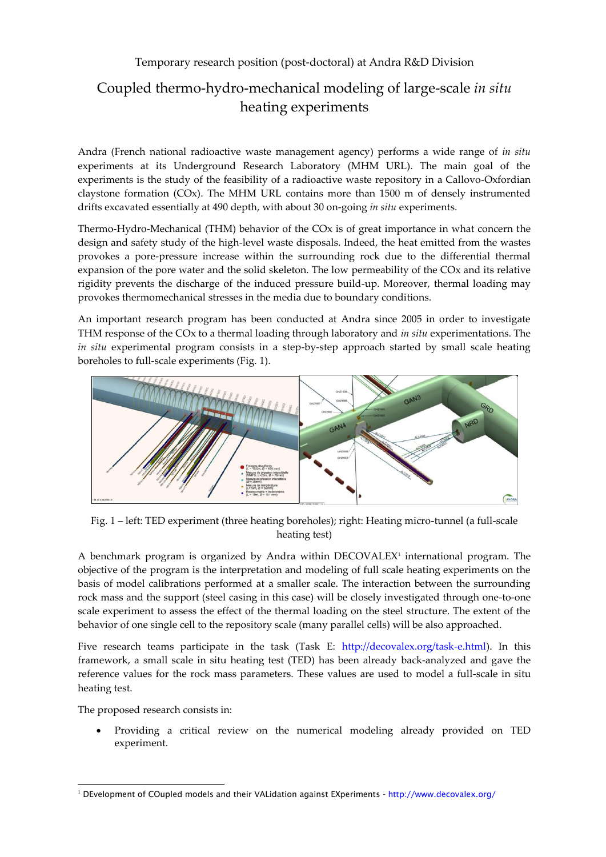## Temporary research position (post-doctoral) at Andra R&D Division

# Coupled thermo-hydro-mechanical modeling of large-scale *in situ* heating experiments

Andra (French national radioactive waste management agency) performs a wide range of *in situ* experiments at its Underground Research Laboratory (MHM URL). The main goal of the experiments is the study of the feasibility of a radioactive waste repository in a Callovo-Oxfordian claystone formation (COx). The MHM URL contains more than 1500 m of densely instrumented drifts excavated essentially at 490 depth, with about 30 on-going *in situ* experiments.

Thermo-Hydro-Mechanical (THM) behavior of the COx is of great importance in what concern the design and safety study of the high-level waste disposals. Indeed, the heat emitted from the wastes provokes a pore-pressure increase within the surrounding rock due to the differential thermal expansion of the pore water and the solid skeleton. The low permeability of the COx and its relative rigidity prevents the discharge of the induced pressure build-up. Moreover, thermal loading may provokes thermomechanical stresses in the media due to boundary conditions.

An important research program has been conducted at Andra since 2005 in order to investigate THM response of the COx to a thermal loading through laboratory and *in situ* experimentations. The *in situ* experimental program consists in a step-by-step approach started by small scale heating boreholes to full-scale experiments (Fig. 1).



Fig. 1 – left: TED experiment (three heating boreholes); right: Heating micro-tunnel (a full-scale heating test)

A benchmark program is organized by Andra within DECOVALEX' international program. The objective of the program is the interpretation and modeling of full scale heating experiments on the basis of model calibrations performed at a smaller scale. The interaction between the surrounding rock mass and the support (steel casing in this case) will be closely investigated through one-to-one scale experiment to assess the effect of the thermal loading on the steel structure. The extent of the behavior of one single cell to the repository scale (many parallel cells) will be also approached.

Five research teams participate in the task (Task E: [http://decovalex.org/task-e.html\)](http://decovalex.org/task-e.html). In this framework, a small scale in situ heating test (TED) has been already back-analyzed and gave the reference values for the rock mass parameters. These values are used to model a full-scale in situ heating test.

The proposed research consists in:

 Providing a critical review on the numerical modeling already provided on TED experiment.

j <sup>1</sup> DEvelopment of COupled models and their VALidation against EXperiments - <http://www.decovalex.org/>